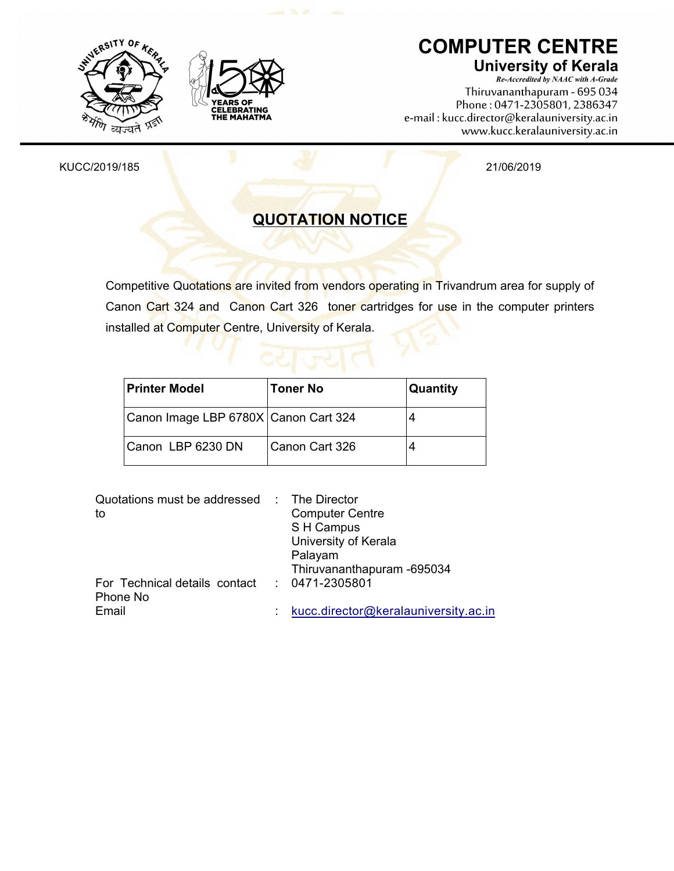



## **COMPUTER CENTRE University of Kerala**<br>Re-Accredited by NAAC with A-Grade

Thiruvananthapuram - 695 034 Phone: 0471-2305801, 2386347 e-mail: kucc.director@keralauniversity.ac.in www.kucc.keralauniversity.ac.in

KUCC/2019/185 21/06/2019

## **QUOTATION NOTICE**

Competitive Quotations are invited from vendors operating in Trivandrum area for supply of Canon Cart 324 and Canon Cart 326 toner cartridges for use in the computer printers installed at Computer Centre, University of Kerala.

| <b>Printer Model</b>                 | <b>Toner No</b> | Quantity |
|--------------------------------------|-----------------|----------|
| Canon Image LBP 6780X Canon Cart 324 |                 |          |
| Canon LBP 6230 DN                    | Canon Cart 326  |          |

| Quotations must be addressed : The Director<br>to        | <b>Computer Centre</b><br>S H Campus<br>University of Kerala<br>Palayam<br>Thiruvananthapuram - 695034 |
|----------------------------------------------------------|--------------------------------------------------------------------------------------------------------|
| For Technical details contact : 0471-2305801<br>Phone No |                                                                                                        |
| Email                                                    | kucc.director@keralauniversity.ac.in                                                                   |